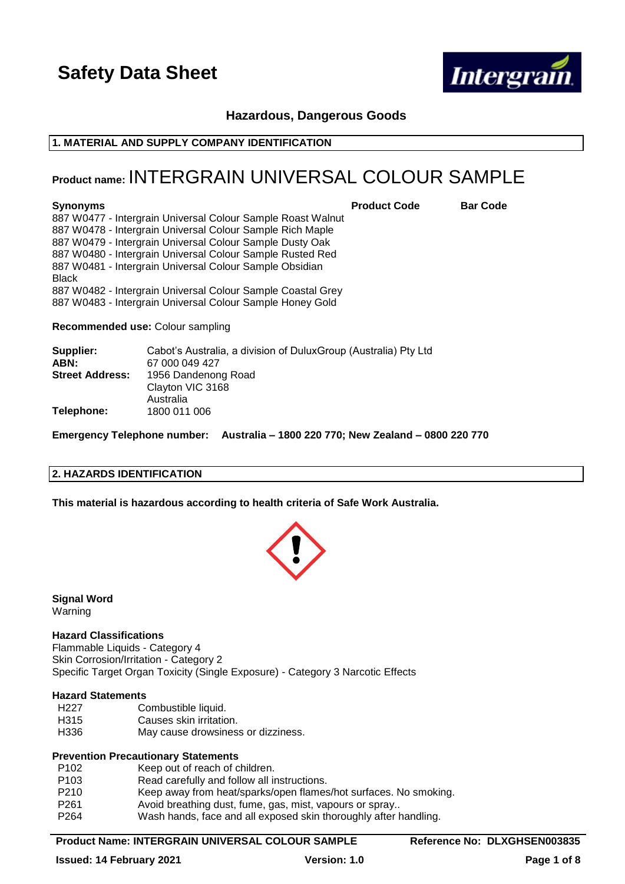

# **Hazardous, Dangerous Goods**

### **1. MATERIAL AND SUPPLY COMPANY IDENTIFICATION**

# **Product name:** INTERGRAIN UNIVERSAL COLOUR SAMPLE

**Synonyms Product Code Bar Code**

887 W0477 - Intergrain Universal Colour Sample Roast Walnut 887 W0478 - Intergrain Universal Colour Sample Rich Maple 887 W0479 - Intergrain Universal Colour Sample Dusty Oak 887 W0480 - Intergrain Universal Colour Sample Rusted Red 887 W0481 - Intergrain Universal Colour Sample Obsidian Black 887 W0482 - Intergrain Universal Colour Sample Coastal Grey 887 W0483 - Intergrain Universal Colour Sample Honey Gold

**Recommended use:** Colour sampling

| Supplier:              | Cabot's Australia, a division of DuluxGroup (Australia) Pty Ltd |
|------------------------|-----------------------------------------------------------------|
| ABN:                   | 67 000 049 427                                                  |
| <b>Street Address:</b> | 1956 Dandenong Road                                             |
|                        | Clayton VIC 3168                                                |
|                        | Australia                                                       |
| Telephone:             | 1800 011 006                                                    |

**Emergency Telephone number: Australia – 1800 220 770; New Zealand – 0800 220 770**

#### **2. HAZARDS IDENTIFICATION**

**This material is hazardous according to health criteria of Safe Work Australia.**



**Signal Word** Warning

#### **Hazard Classifications**

Flammable Liquids - Category 4 Skin Corrosion/Irritation - Category 2 Specific Target Organ Toxicity (Single Exposure) - Category 3 Narcotic Effects

#### **Hazard Statements**

- H<sub>227</sub> Combustible liquid.
- H315 Causes skin irritation.
- H336 May cause drowsiness or dizziness.

## **Prevention Precautionary Statements**

| P <sub>102</sub> | Keep out of reach of children.                                   |
|------------------|------------------------------------------------------------------|
| P <sub>103</sub> | Read carefully and follow all instructions.                      |
| P <sub>210</sub> | Keep away from heat/sparks/open flames/hot surfaces. No smoking. |
| P <sub>261</sub> | Avoid breathing dust, fume, gas, mist, vapours or spray          |
| P <sub>264</sub> | Wash hands, face and all exposed skin thoroughly after handling. |

#### **Product Name: INTERGRAIN UNIVERSAL COLOUR SAMPLE Reference No: DLXGHSEN003835**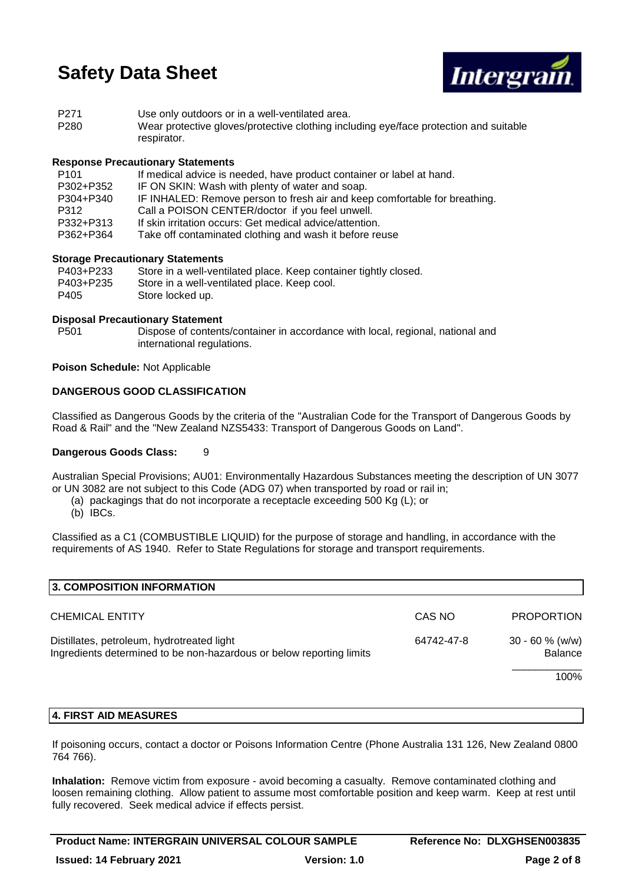

| P <sub>271</sub> | Use only outdoors or in a well-ventilated area.                                                      |
|------------------|------------------------------------------------------------------------------------------------------|
| P280             | Wear protective gloves/protective clothing including eye/face protection and suitable<br>respirator. |

### **Response Precautionary Statements**

| P <sub>101</sub> | If medical advice is needed, have product container or label at hand.      |
|------------------|----------------------------------------------------------------------------|
| P302+P352        | IF ON SKIN: Wash with plenty of water and soap.                            |
| P304+P340        | IF INHALED: Remove person to fresh air and keep comfortable for breathing. |
| P312             | Call a POISON CENTER/doctor if you feel unwell.                            |
| P332+P313        | If skin irritation occurs: Get medical advice/attention.                   |
| P362+P364        | Take off contaminated clothing and wash it before reuse                    |

### **Storage Precautionary Statements**

| P403+P233 | Store in a well-ventilated place. Keep container tightly closed. |
|-----------|------------------------------------------------------------------|
| P403+P235 | Store in a well-ventilated place. Keep cool.                     |
| P405      | Store locked up.                                                 |

### **Disposal Precautionary Statement**

P501 Dispose of contents/container in accordance with local, regional, national and international regulations.

**Poison Schedule:** Not Applicable

### **DANGEROUS GOOD CLASSIFICATION**

Classified as Dangerous Goods by the criteria of the "Australian Code for the Transport of Dangerous Goods by Road & Rail" and the "New Zealand NZS5433: Transport of Dangerous Goods on Land".

#### **Dangerous Goods Class:** 9

Australian Special Provisions; AU01: Environmentally Hazardous Substances meeting the description of UN 3077 or UN 3082 are not subject to this Code (ADG 07) when transported by road or rail in;

- (a) packagings that do not incorporate a receptacle exceeding 500 Kg (L); or
- (b) IBCs.

Classified as a C1 (COMBUSTIBLE LIQUID) for the purpose of storage and handling, in accordance with the requirements of AS 1940. Refer to State Regulations for storage and transport requirements.

| CAS NO     | <b>PROPORTION</b>                   |
|------------|-------------------------------------|
| 64742-47-8 | $30 - 60$ % (w/w)<br><b>Balance</b> |
|            | 100%                                |
|            |                                     |

## **4. FIRST AID MEASURES**

If poisoning occurs, contact a doctor or Poisons Information Centre (Phone Australia 131 126, New Zealand 0800 764 766).

**Inhalation:** Remove victim from exposure - avoid becoming a casualty. Remove contaminated clothing and loosen remaining clothing. Allow patient to assume most comfortable position and keep warm. Keep at rest until fully recovered. Seek medical advice if effects persist.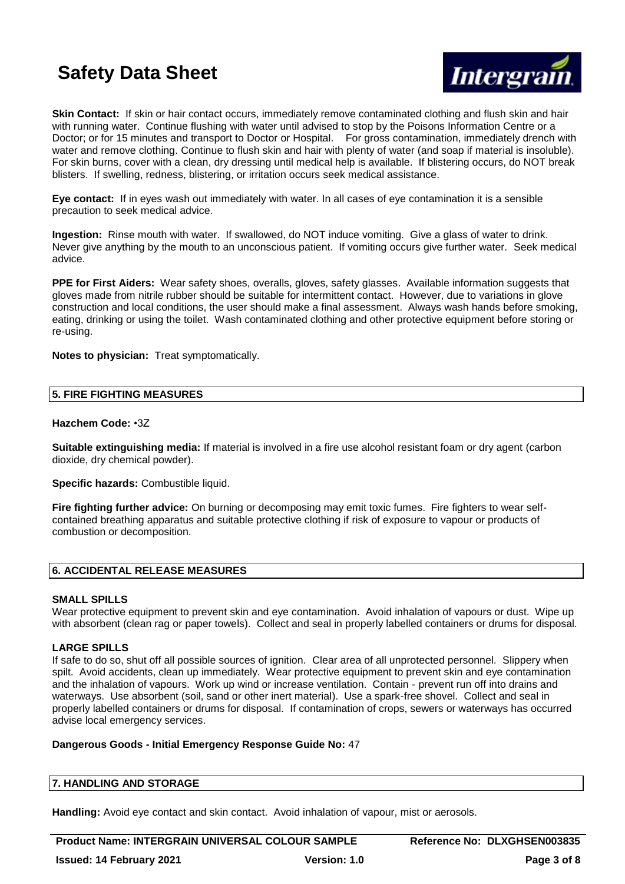

**Skin Contact:** If skin or hair contact occurs, immediately remove contaminated clothing and flush skin and hair with running water. Continue flushing with water until advised to stop by the Poisons Information Centre or a Doctor; or for 15 minutes and transport to Doctor or Hospital. For gross contamination, immediately drench with water and remove clothing. Continue to flush skin and hair with plenty of water (and soap if material is insoluble). For skin burns, cover with a clean, dry dressing until medical help is available. If blistering occurs, do NOT break blisters. If swelling, redness, blistering, or irritation occurs seek medical assistance.

**Eye contact:** If in eyes wash out immediately with water. In all cases of eye contamination it is a sensible precaution to seek medical advice.

**Ingestion:** Rinse mouth with water. If swallowed, do NOT induce vomiting. Give a glass of water to drink. Never give anything by the mouth to an unconscious patient. If vomiting occurs give further water. Seek medical advice.

**PPE for First Aiders:** Wear safety shoes, overalls, gloves, safety glasses. Available information suggests that gloves made from nitrile rubber should be suitable for intermittent contact. However, due to variations in glove construction and local conditions, the user should make a final assessment. Always wash hands before smoking, eating, drinking or using the toilet. Wash contaminated clothing and other protective equipment before storing or re-using.

**Notes to physician:** Treat symptomatically.

#### **5. FIRE FIGHTING MEASURES**

#### **Hazchem Code:** •3Z

**Suitable extinguishing media:** If material is involved in a fire use alcohol resistant foam or dry agent (carbon dioxide, dry chemical powder).

**Specific hazards:** Combustible liquid.

**Fire fighting further advice:** On burning or decomposing may emit toxic fumes. Fire fighters to wear selfcontained breathing apparatus and suitable protective clothing if risk of exposure to vapour or products of combustion or decomposition.

## **6. ACCIDENTAL RELEASE MEASURES**

#### **SMALL SPILLS**

Wear protective equipment to prevent skin and eye contamination. Avoid inhalation of vapours or dust. Wipe up with absorbent (clean rag or paper towels). Collect and seal in properly labelled containers or drums for disposal.

#### **LARGE SPILLS**

If safe to do so, shut off all possible sources of ignition. Clear area of all unprotected personnel. Slippery when spilt. Avoid accidents, clean up immediately. Wear protective equipment to prevent skin and eye contamination and the inhalation of vapours. Work up wind or increase ventilation. Contain - prevent run off into drains and waterways. Use absorbent (soil, sand or other inert material). Use a spark-free shovel. Collect and seal in properly labelled containers or drums for disposal. If contamination of crops, sewers or waterways has occurred advise local emergency services.

#### **Dangerous Goods - Initial Emergency Response Guide No:** 47

#### **7. HANDLING AND STORAGE**

**Handling:** Avoid eye contact and skin contact. Avoid inhalation of vapour, mist or aerosols.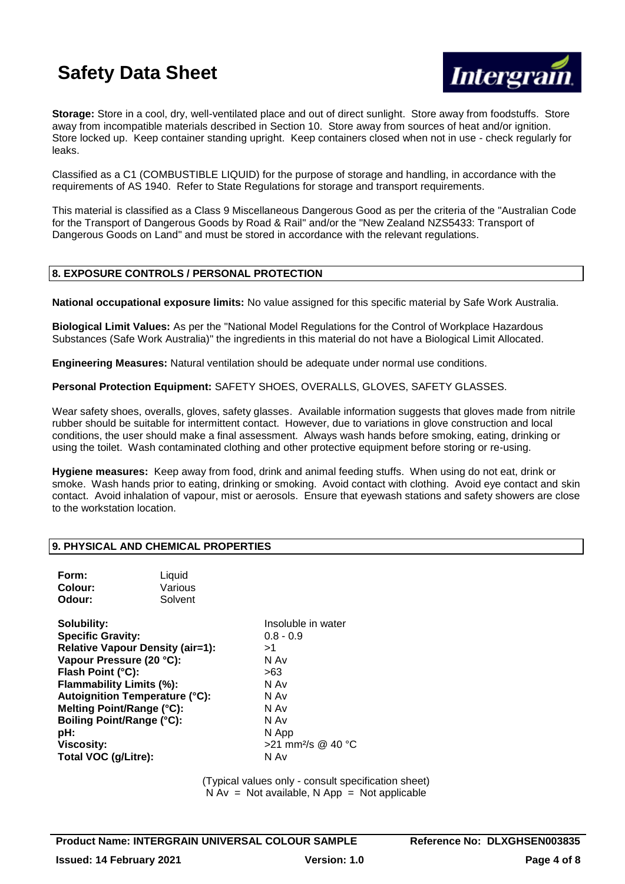

**Storage:** Store in a cool, dry, well-ventilated place and out of direct sunlight. Store away from foodstuffs. Store away from incompatible materials described in Section 10. Store away from sources of heat and/or ignition. Store locked up. Keep container standing upright. Keep containers closed when not in use - check regularly for leaks.

Classified as a C1 (COMBUSTIBLE LIQUID) for the purpose of storage and handling, in accordance with the requirements of AS 1940. Refer to State Regulations for storage and transport requirements.

This material is classified as a Class 9 Miscellaneous Dangerous Good as per the criteria of the "Australian Code for the Transport of Dangerous Goods by Road & Rail" and/or the "New Zealand NZS5433: Transport of Dangerous Goods on Land" and must be stored in accordance with the relevant regulations.

# **8. EXPOSURE CONTROLS / PERSONAL PROTECTION**

**National occupational exposure limits:** No value assigned for this specific material by Safe Work Australia.

**Biological Limit Values:** As per the "National Model Regulations for the Control of Workplace Hazardous Substances (Safe Work Australia)" the ingredients in this material do not have a Biological Limit Allocated.

**Engineering Measures:** Natural ventilation should be adequate under normal use conditions.

**Personal Protection Equipment:** SAFETY SHOES, OVERALLS, GLOVES, SAFETY GLASSES.

Wear safety shoes, overalls, gloves, safety glasses. Available information suggests that gloves made from nitrile rubber should be suitable for intermittent contact. However, due to variations in glove construction and local conditions, the user should make a final assessment. Always wash hands before smoking, eating, drinking or using the toilet. Wash contaminated clothing and other protective equipment before storing or re-using.

**Hygiene measures:** Keep away from food, drink and animal feeding stuffs. When using do not eat, drink or smoke. Wash hands prior to eating, drinking or smoking. Avoid contact with clothing. Avoid eye contact and skin contact. Avoid inhalation of vapour, mist or aerosols. Ensure that eyewash stations and safety showers are close to the workstation location.

## **9. PHYSICAL AND CHEMICAL PROPERTIES**

| Form:   | Liquid  |
|---------|---------|
| Colour: | Various |
| Odour:  | Solvent |

**Solubility:** Insoluble in water **Specific Gravity:** 0.8 - 0.9 **Relative Vapour Density (air=1):** >1 **Vapour Pressure (20 °C):** N Av Flash Point (°C): 563 **Flammability Limits (%):** N Av **Autoignition Temperature (°C):** N Av **Melting Point/Range (°C):** N Av **Boiling Point/Range (°C):** N Av **pH:** N App **Viscosity:**  $>21$  mm<sup>2</sup>/s @ 40 °C **Total VOC (g/Litre):** N Av

(Typical values only - consult specification sheet)  $N Av = Not available, N App = Not applicable$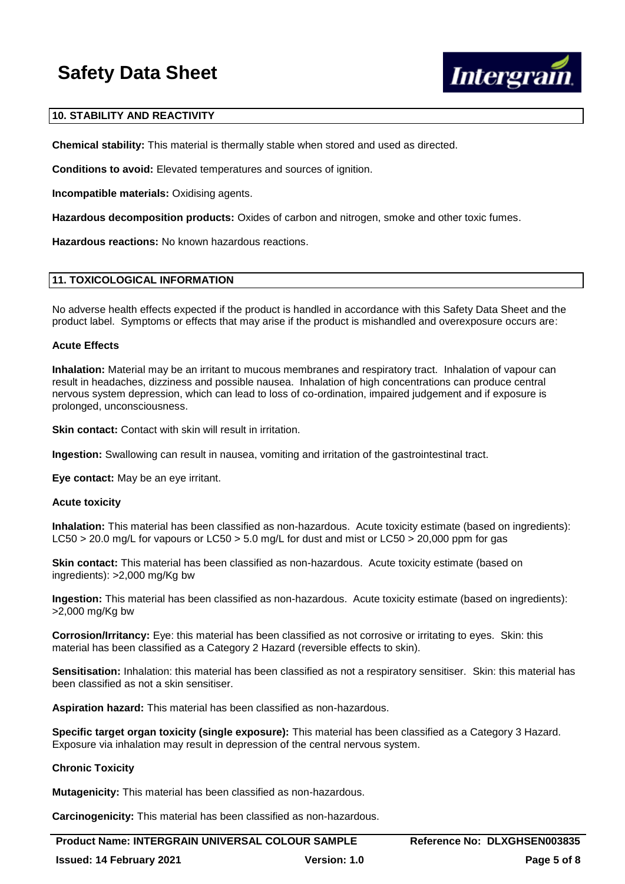

### **10. STABILITY AND REACTIVITY**

**Chemical stability:** This material is thermally stable when stored and used as directed.

**Conditions to avoid:** Elevated temperatures and sources of ignition.

**Incompatible materials:** Oxidising agents.

**Hazardous decomposition products:** Oxides of carbon and nitrogen, smoke and other toxic fumes.

**Hazardous reactions:** No known hazardous reactions.

#### **11. TOXICOLOGICAL INFORMATION**

No adverse health effects expected if the product is handled in accordance with this Safety Data Sheet and the product label. Symptoms or effects that may arise if the product is mishandled and overexposure occurs are:

#### **Acute Effects**

**Inhalation:** Material may be an irritant to mucous membranes and respiratory tract. Inhalation of vapour can result in headaches, dizziness and possible nausea. Inhalation of high concentrations can produce central nervous system depression, which can lead to loss of co-ordination, impaired judgement and if exposure is prolonged, unconsciousness.

**Skin contact:** Contact with skin will result in irritation.

**Ingestion:** Swallowing can result in nausea, vomiting and irritation of the gastrointestinal tract.

**Eye contact:** May be an eye irritant.

#### **Acute toxicity**

**Inhalation:** This material has been classified as non-hazardous. Acute toxicity estimate (based on ingredients): LC50 > 20.0 mg/L for vapours or LC50 > 5.0 mg/L for dust and mist or LC50 > 20,000 ppm for gas

**Skin contact:** This material has been classified as non-hazardous. Acute toxicity estimate (based on ingredients): >2,000 mg/Kg bw

**Ingestion:** This material has been classified as non-hazardous. Acute toxicity estimate (based on ingredients): >2,000 mg/Kg bw

**Corrosion/Irritancy:** Eye: this material has been classified as not corrosive or irritating to eyes. Skin: this material has been classified as a Category 2 Hazard (reversible effects to skin).

**Sensitisation:** Inhalation: this material has been classified as not a respiratory sensitiser. Skin: this material has been classified as not a skin sensitiser.

**Aspiration hazard:** This material has been classified as non-hazardous.

**Specific target organ toxicity (single exposure):** This material has been classified as a Category 3 Hazard. Exposure via inhalation may result in depression of the central nervous system.

#### **Chronic Toxicity**

**Mutagenicity:** This material has been classified as non-hazardous.

**Carcinogenicity:** This material has been classified as non-hazardous.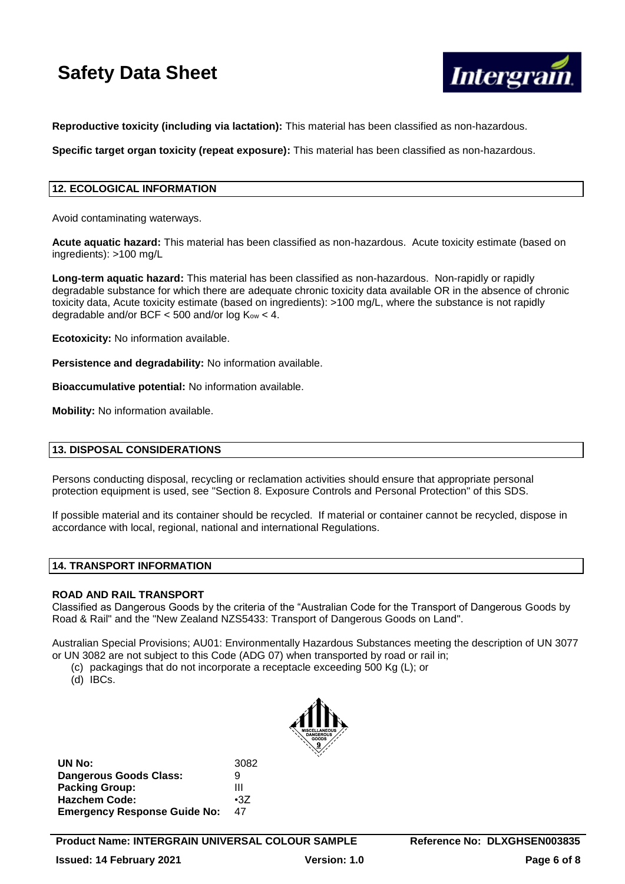

**Reproductive toxicity (including via lactation):** This material has been classified as non-hazardous.

**Specific target organ toxicity (repeat exposure):** This material has been classified as non-hazardous.

# **12. ECOLOGICAL INFORMATION**

Avoid contaminating waterways.

**Acute aquatic hazard:** This material has been classified as non-hazardous. Acute toxicity estimate (based on ingredients): >100 mg/L

**Long-term aquatic hazard:** This material has been classified as non-hazardous. Non-rapidly or rapidly degradable substance for which there are adequate chronic toxicity data available OR in the absence of chronic toxicity data, Acute toxicity estimate (based on ingredients): >100 mg/L, where the substance is not rapidly degradable and/or BCF  $<$  500 and/or log  $K_{ow}$   $<$  4.

**Ecotoxicity:** No information available.

**Persistence and degradability:** No information available.

**Bioaccumulative potential:** No information available.

**Mobility:** No information available.

## **13. DISPOSAL CONSIDERATIONS**

Persons conducting disposal, recycling or reclamation activities should ensure that appropriate personal protection equipment is used, see "Section 8. Exposure Controls and Personal Protection" of this SDS.

If possible material and its container should be recycled. If material or container cannot be recycled, dispose in accordance with local, regional, national and international Regulations.

#### **14. TRANSPORT INFORMATION**

## **ROAD AND RAIL TRANSPORT**

Classified as Dangerous Goods by the criteria of the "Australian Code for the Transport of Dangerous Goods by Road & Rail" and the "New Zealand NZS5433: Transport of Dangerous Goods on Land".

Australian Special Provisions; AU01: Environmentally Hazardous Substances meeting the description of UN 3077 or UN 3082 are not subject to this Code (ADG 07) when transported by road or rail in;

- (c) packagings that do not incorporate a receptacle exceeding 500 Kg (L); or
- (d) IBCs.



| 3082       |
|------------|
| g          |
| Ш          |
| $\cdot 37$ |
| 47         |
|            |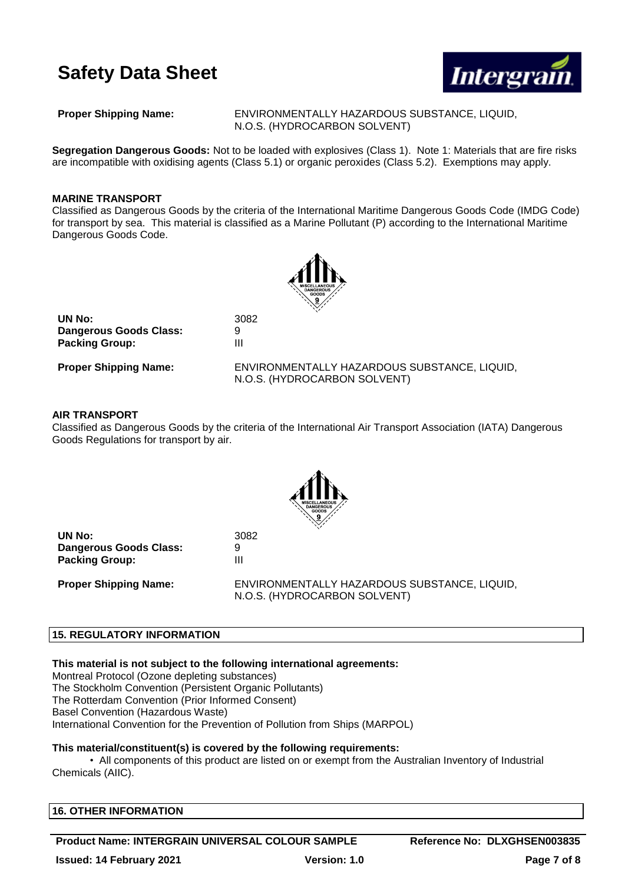

**Proper Shipping Name:** ENVIRONMENTALLY HAZARDOUS SUBSTANCE, LIQUID, N.O.S. (HYDROCARBON SOLVENT)

**Segregation Dangerous Goods:** Not to be loaded with explosives (Class 1). Note 1: Materials that are fire risks are incompatible with oxidising agents (Class 5.1) or organic peroxides (Class 5.2). Exemptions may apply.

### **MARINE TRANSPORT**

Classified as Dangerous Goods by the criteria of the International Maritime Dangerous Goods Code (IMDG Code) for transport by sea. This material is classified as a Marine Pollutant (P) according to the International Maritime Dangerous Goods Code.



| UN No:                       | 3082                                                                         |
|------------------------------|------------------------------------------------------------------------------|
| Dangerous Goods Class:       | 9                                                                            |
| <b>Packing Group:</b>        | Ш                                                                            |
| <b>Proper Shipping Name:</b> | ENVIRONMENTALLY HAZARDOUS SUBSTANCE, LIQUID,<br>N.O.S. (HYDROCARBON SOLVENT) |

#### **AIR TRANSPORT**

Classified as Dangerous Goods by the criteria of the International Air Transport Association (IATA) Dangerous Goods Regulations for transport by air.



**UN No:** 3082 **Dangerous Goods Class:** 9 **Packing Group:** III

**Proper Shipping Name:** ENVIRONMENTALLY HAZARDOUS SUBSTANCE, LIQUID, N.O.S. (HYDROCARBON SOLVENT)

#### **15. REGULATORY INFORMATION**

**This material is not subject to the following international agreements:**

Montreal Protocol (Ozone depleting substances)

The Stockholm Convention (Persistent Organic Pollutants) The Rotterdam Convention (Prior Informed Consent)

Basel Convention (Hazardous Waste)

International Convention for the Prevention of Pollution from Ships (MARPOL)

#### **This material/constituent(s) is covered by the following requirements:**

• All components of this product are listed on or exempt from the Australian Inventory of Industrial Chemicals (AIIC).

**Product Name: INTERGRAIN UNIVERSAL COLOUR SAMPLE Reference No: DLXGHSEN003835**

**Issued: 14 February 2021 Version: 1.0 Page 7 of 8**